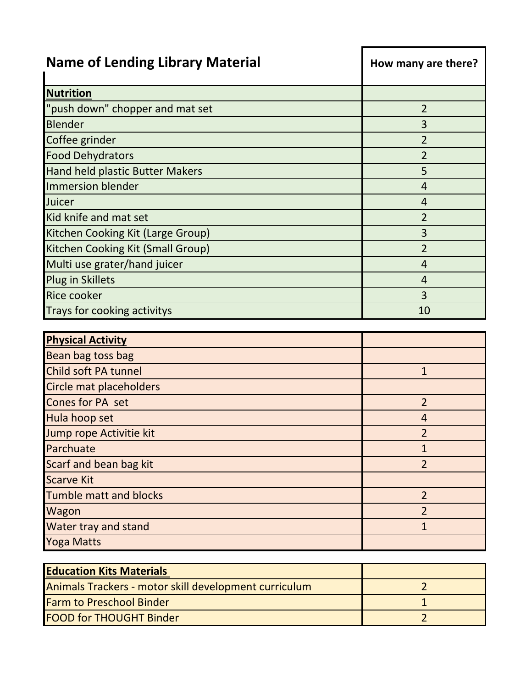| <b>Name of Lending Library Material</b>               | How many are there? |
|-------------------------------------------------------|---------------------|
| <b>Nutrition</b>                                      |                     |
| "push down" chopper and mat set                       | $\overline{2}$      |
| <b>Blender</b>                                        | 3                   |
| Coffee grinder                                        | $\overline{2}$      |
| <b>Food Dehydrators</b>                               | $\overline{2}$      |
| Hand held plastic Butter Makers                       | 5                   |
| Immersion blender                                     | $\overline{4}$      |
| Juicer                                                | 4                   |
| Kid knife and mat set                                 | $\overline{2}$      |
| Kitchen Cooking Kit (Large Group)                     | 3                   |
| Kitchen Cooking Kit (Small Group)                     | $\overline{2}$      |
| Multi use grater/hand juicer                          | $\overline{4}$      |
| Plug in Skillets                                      | $\overline{4}$      |
| <b>Rice cooker</b>                                    | 3                   |
| Trays for cooking activitys                           | 10                  |
| <b>Physical Activity</b>                              |                     |
| Bean bag toss bag                                     |                     |
| Child soft PA tunnel                                  | $\mathbf{1}$        |
| Circle mat placeholders                               |                     |
| Cones for PA set                                      | $\overline{2}$      |
| Hula hoop set                                         | 4                   |
| Jump rope Activitie kit                               | $\overline{2}$      |
| Parchuate                                             | $\mathbf{1}$        |
| Scarf and bean bag kit                                | $\overline{2}$      |
| <b>Scarve Kit</b>                                     |                     |
| <b>Tumble matt and blocks</b>                         | $\overline{2}$      |
| Wagon                                                 | $\overline{2}$      |
| Water tray and stand                                  | $\mathbf{1}$        |
| <b>Yoga Matts</b>                                     |                     |
|                                                       |                     |
| <b>Education Kits Materials</b>                       | $\overline{2}$      |
| Animals Trackers - motor skill development curriculum | $\mathbf{1}$        |
| <b>Farm to Preschool Binder</b>                       |                     |

FOOD for THOUGHT Binder 2 2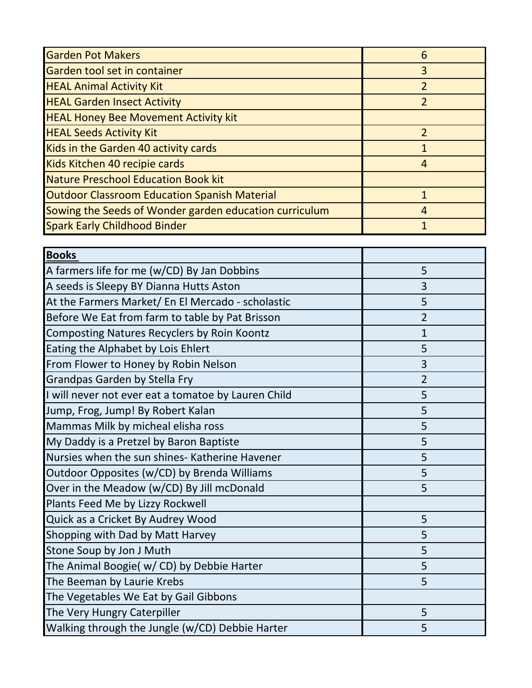| <b>Garden Pot Makers</b>                               | 6              |
|--------------------------------------------------------|----------------|
| Garden tool set in container                           | 3              |
| <b>HEAL Animal Activity Kit</b>                        | $\overline{2}$ |
| <b>HEAL Garden Insect Activity</b>                     | $\overline{2}$ |
| <b>HEAL Honey Bee Movement Activity kit</b>            |                |
| <b>HEAL Seeds Activity Kit</b>                         | 2              |
| Kids in the Garden 40 activity cards                   |                |
| Kids Kitchen 40 recipie cards                          | 4              |
| <b>Nature Preschool Education Book kit</b>             |                |
| <b>Outdoor Classroom Education Spanish Material</b>    |                |
| Sowing the Seeds of Wonder garden education curriculum | $\overline{4}$ |
| <b>Spark Early Childhood Binder</b>                    |                |

| <b>Books</b>                                        |                |
|-----------------------------------------------------|----------------|
| A farmers life for me (w/CD) By Jan Dobbins         | 5              |
| A seeds is Sleepy BY Dianna Hutts Aston             | 3              |
| At the Farmers Market/ En El Mercado - scholastic   | 5              |
| Before We Eat from farm to table by Pat Brisson     | $\overline{2}$ |
| <b>Composting Natures Recyclers by Roin Koontz</b>  | $\mathbf{1}$   |
| Eating the Alphabet by Lois Ehlert                  | 5              |
| From Flower to Honey by Robin Nelson                | 3              |
| Grandpas Garden by Stella Fry                       | $\overline{2}$ |
| I will never not ever eat a tomatoe by Lauren Child | 5              |
| Jump, Frog, Jump! By Robert Kalan                   | 5              |
| Mammas Milk by micheal elisha ross                  | 5              |
| My Daddy is a Pretzel by Baron Baptiste             | 5              |
| Nursies when the sun shines- Katherine Havener      | 5              |
| Outdoor Opposites (w/CD) by Brenda Williams         | 5              |
| Over in the Meadow (w/CD) By Jill mcDonald          | 5              |
| Plants Feed Me by Lizzy Rockwell                    |                |
| Quick as a Cricket By Audrey Wood                   | 5              |
| Shopping with Dad by Matt Harvey                    | 5              |
| Stone Soup by Jon J Muth                            | 5              |
| The Animal Boogie( w/ CD) by Debbie Harter          | 5              |
| The Beeman by Laurie Krebs                          | 5              |
| The Vegetables We Eat by Gail Gibbons               |                |
| The Very Hungry Caterpiller                         | 5              |
| Walking through the Jungle (w/CD) Debbie Harter     | 5              |